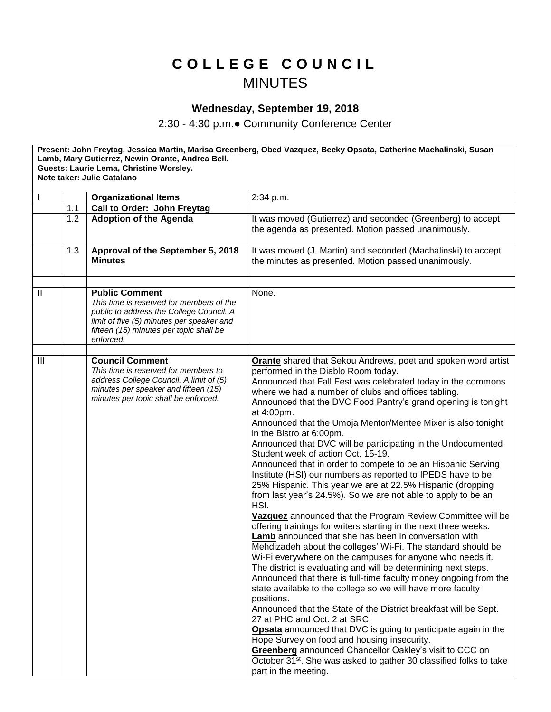## **C O L L E G E C O U N C I L MINUTES**

## **Wednesday, September 19, 2018**

2:30 - 4:30 p.m.● Community Conference Center

**Present: John Freytag, Jessica Martin, Marisa Greenberg, Obed Vazquez, Becky Opsata, Catherine Machalinski, Susan Lamb, Mary Gutierrez, Newin Orante, Andrea Bell. Guests: Laurie Lema, Christine Worsley. Note taker: Julie Catalano** I **Organizational Items** 2:34 p.m. 1.1 **Call to Order: John Freytag** 1.2 **Adoption of the Agenda** It was moved (Gutierrez) and seconded (Greenberg) to accept the agenda as presented. Motion passed unanimously. 1.3 **Approval of the September 5, 2018 Minutes** It was moved (J. Martin) and seconded (Machalinski) to accept the minutes as presented. Motion passed unanimously. II **Public Comment** *This time is reserved for members of the public to address the College Council. A*  None.

| -H                      | Public Comment<br>This time is reserved for members of the<br>public to address the College Council. A<br>limit of five (5) minutes per speaker and<br>fifteen (15) minutes per topic shall be<br>enforced. | None.                                                                                                                                                                                                                                                                                                                                                                                                                                                                                                                                                                                                                                                                                                                                                                                                                                                                                                                                                                                                                                                                                                                                                                                                                                                                                                                                                                                                                                                                                                                                                                                                                                                                                                                           |
|-------------------------|-------------------------------------------------------------------------------------------------------------------------------------------------------------------------------------------------------------|---------------------------------------------------------------------------------------------------------------------------------------------------------------------------------------------------------------------------------------------------------------------------------------------------------------------------------------------------------------------------------------------------------------------------------------------------------------------------------------------------------------------------------------------------------------------------------------------------------------------------------------------------------------------------------------------------------------------------------------------------------------------------------------------------------------------------------------------------------------------------------------------------------------------------------------------------------------------------------------------------------------------------------------------------------------------------------------------------------------------------------------------------------------------------------------------------------------------------------------------------------------------------------------------------------------------------------------------------------------------------------------------------------------------------------------------------------------------------------------------------------------------------------------------------------------------------------------------------------------------------------------------------------------------------------------------------------------------------------|
|                         |                                                                                                                                                                                                             |                                                                                                                                                                                                                                                                                                                                                                                                                                                                                                                                                                                                                                                                                                                                                                                                                                                                                                                                                                                                                                                                                                                                                                                                                                                                                                                                                                                                                                                                                                                                                                                                                                                                                                                                 |
| $\overline{\mathbb{I}}$ | <b>Council Comment</b><br>This time is reserved for members to<br>address College Council. A limit of (5)<br>minutes per speaker and fifteen (15)<br>minutes per topic shall be enforced.                   | <b>Orante</b> shared that Sekou Andrews, poet and spoken word artist<br>performed in the Diablo Room today.<br>Announced that Fall Fest was celebrated today in the commons<br>where we had a number of clubs and offices tabling.<br>Announced that the DVC Food Pantry's grand opening is tonight<br>at 4:00pm.<br>Announced that the Umoja Mentor/Mentee Mixer is also tonight<br>in the Bistro at 6:00pm.<br>Announced that DVC will be participating in the Undocumented<br>Student week of action Oct. 15-19.<br>Announced that in order to compete to be an Hispanic Serving<br>Institute (HSI) our numbers as reported to IPEDS have to be<br>25% Hispanic. This year we are at 22.5% Hispanic (dropping<br>from last year's 24.5%). So we are not able to apply to be an<br>HSI.<br>Vazquez announced that the Program Review Committee will be<br>offering trainings for writers starting in the next three weeks.<br>Lamb announced that she has been in conversation with<br>Mehdizadeh about the colleges' Wi-Fi. The standard should be<br>Wi-Fi everywhere on the campuses for anyone who needs it.<br>The district is evaluating and will be determining next steps.<br>Announced that there is full-time faculty money ongoing from the<br>state available to the college so we will have more faculty<br>positions.<br>Announced that the State of the District breakfast will be Sept.<br>27 at PHC and Oct. 2 at SRC.<br>Opsata announced that DVC is going to participate again in the<br>Hope Survey on food and housing insecurity.<br>Greenberg announced Chancellor Oakley's visit to CCC on<br>October 31 <sup>st</sup> . She was asked to gather 30 classified folks to take<br>part in the meeting. |